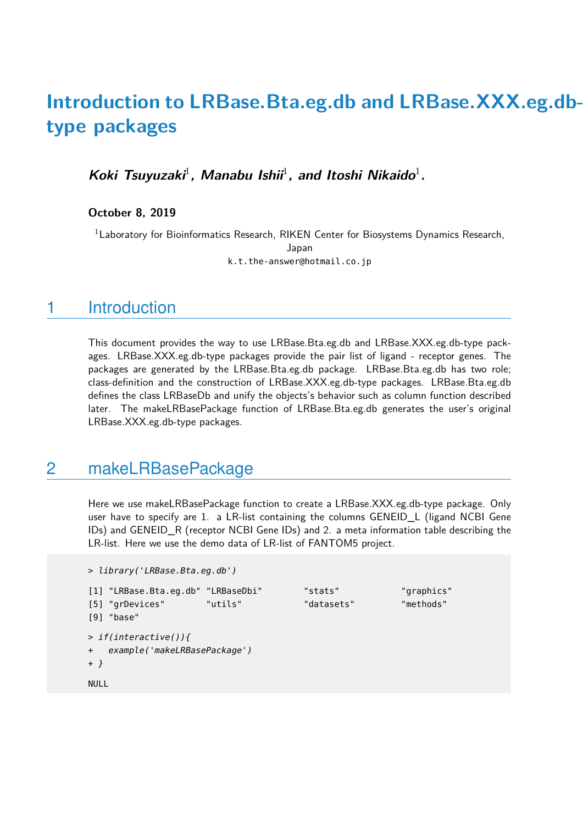# **Introduction to LRBase.Bta.eg.db and LRBase.XXX.eg.dbtype packages**

Koki Tsuyuzaki<sup>1</sup>, Manabu Ishii<sup>1</sup>, and Itoshi Nikaido<sup>1</sup>.

**October 8, 2019**

<sup>1</sup>Laboratory for Bioinformatics Research, RIKEN Center for Biosystems Dynamics Research, Japan k.t.the-answer@hotmail.co.jp

### 1 Introduction

This document provides the way to use LRBase.Bta.eg.db and LRBase.XXX.eg.db-type packages. LRBase.XXX.eg.db-type packages provide the pair list of ligand - receptor genes. The packages are generated by the LRBase.Bta.eg.db package. LRBase.Bta.eg.db has two role; class-definition and the construction of LRBase.XXX.eg.db-type packages. LRBase.Bta.eg.db defines the class LRBaseDb and unify the objects's behavior such as column function described later. The makeLRBasePackage function of LRBase.Bta.eg.db generates the user's original LRBase.XXX.eg.db-type packages.

#### 2 makeLRBasePackage

Here we use makeLRBasePackage function to create a LRBase.XXX.eg.db-type package. Only user have to specify are 1. a LR-list containing the columns GENEID L (ligand NCBI Gene IDs) and GENEID R (receptor NCBI Gene IDs) and 2. a meta information table describing the LR-list. Here we use the demo data of LR-list of FANTOM5 project.

```
> library('LRBase.Bta.eg.db')
[1] "LRBase.Bta.eg.db" "LRBaseDbi" "stats" "graphics"
[5] "grDevices" "utils" "datasets" "methods"
[9] "base"
> if(interactive()){
+ example('makeLRBasePackage')
+ }
NULL
```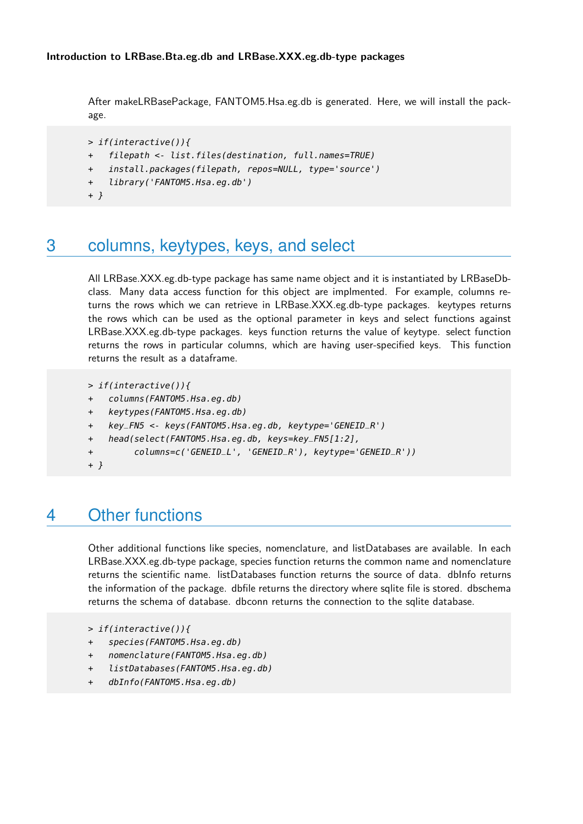After makeLRBasePackage, FANTOM5.Hsa.eg.db is generated. Here, we will install the package.

```
> if(interactive()){
```
- + filepath <- list.files(destination, full.names=TRUE)
- + install.packages(filepath, repos=NULL, type='source')
- + library('FANTOM5.Hsa.eg.db')
- + }

## 3 columns, keytypes, keys, and select

All LRBase.XXX.eg.db-type package has same name object and it is instantiated by LRBaseDbclass. Many data access function for this object are implmented. For example, columns returns the rows which we can retrieve in LRBase.XXX.eg.db-type packages. keytypes returns the rows which can be used as the optional parameter in keys and select functions against LRBase.XXX.eg.db-type packages. keys function returns the value of keytype. select function returns the rows in particular columns, which are having user-specified keys. This function returns the result as a dataframe.

```
> if(interactive()){
```
- + columns(FANTOM5.Hsa.eg.db)
- + keytypes(FANTOM5.Hsa.eg.db)
- + key\_FN5 <- keys(FANTOM5.Hsa.eg.db, keytype='GENEID\_R')
- head(select(FANTOM5.Hsa.eg.db, keys=key\_FN5[1:2],
- + columns=c('GENEID\_L', 'GENEID\_R'), keytype='GENEID\_R'))
- + }

# 4 Other functions

Other additional functions like species, nomenclature, and listDatabases are available. In each LRBase.XXX.eg.db-type package, species function returns the common name and nomenclature returns the scientific name. listDatabases function returns the source of data. dbInfo returns the information of the package. dbfile returns the directory where sqlite file is stored. dbschema returns the schema of database. dbconn returns the connection to the sqlite database.

```
> if(interactive()){
```
- + species(FANTOM5.Hsa.eg.db)
- + nomenclature(FANTOM5.Hsa.eg.db)
- + listDatabases(FANTOM5.Hsa.eg.db)
- + dbInfo(FANTOM5.Hsa.eg.db)